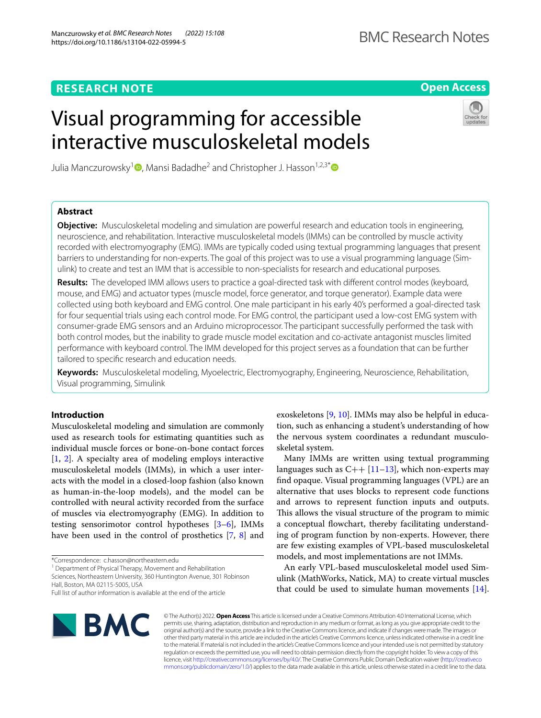Manczurowsky *et al. BMC Research Notes (2022) 15:108* 

https://doi.org/10.1186/s13104-022-05994-5

**Open Access**

# Visual programming for accessible interactive musculoskeletal models



Julia Manczurowsky<sup>1</sup> [,](http://orcid.org/0000-0003-4540-8387) Mansi Badadhe<sup>2</sup> and Christopher J. Hasson<sup>1,2,3[\\*](http://orcid.org/0000-0002-9851-0919)</sup> <sup>D</sup>

# **Abstract**

**Objective:** Musculoskeletal modeling and simulation are powerful research and education tools in engineering, neuroscience, and rehabilitation. Interactive musculoskeletal models (IMMs) can be controlled by muscle activity recorded with electromyography (EMG). IMMs are typically coded using textual programming languages that present barriers to understanding for non-experts. The goal of this project was to use a visual programming language (Simulink) to create and test an IMM that is accessible to non-specialists for research and educational purposes.

**Results:** The developed IMM allows users to practice a goal-directed task with diferent control modes (keyboard, mouse, and EMG) and actuator types (muscle model, force generator, and torque generator). Example data were collected using both keyboard and EMG control. One male participant in his early 40's performed a goal-directed task for four sequential trials using each control mode. For EMG control, the participant used a low-cost EMG system with consumer-grade EMG sensors and an Arduino microprocessor. The participant successfully performed the task with both control modes, but the inability to grade muscle model excitation and co-activate antagonist muscles limited performance with keyboard control. The IMM developed for this project serves as a foundation that can be further tailored to specifc research and education needs.

**Keywords:** Musculoskeletal modeling, Myoelectric, Electromyography, Engineering, Neuroscience, Rehabilitation, Visual programming, Simulink

## **Introduction**

Musculoskeletal modeling and simulation are commonly used as research tools for estimating quantities such as individual muscle forces or bone-on-bone contact forces [[1,](#page-5-0) [2\]](#page-5-1). A specialty area of modeling employs interactive musculoskeletal models (IMMs), in which a user interacts with the model in a closed-loop fashion (also known as human-in-the-loop models), and the model can be controlled with neural activity recorded from the surface of muscles via electromyography (EMG). In addition to testing sensorimotor control hypotheses [[3](#page-5-2)[–6](#page-5-3)], IMMs have been used in the control of prosthetics [\[7](#page-5-4), [8](#page-5-5)] and

\*Correspondence: c.hasson@northeastern.edu

<sup>1</sup> Department of Physical Therapy, Movement and Rehabilitation

Sciences, Northeastern University, 360 Huntington Avenue, 301 Robinson Hall, Boston, MA 02115-5005, USA



Many IMMs are written using textual programming languages such as  $C++$  [\[11–](#page-5-8)[13\]](#page-5-9), which non-experts may fnd opaque. Visual programming languages (VPL) are an alternative that uses blocks to represent code functions and arrows to represent function inputs and outputs. This allows the visual structure of the program to mimic a conceptual fowchart, thereby facilitating understanding of program function by non-experts. However, there are few existing examples of VPL-based musculoskeletal models, and most implementations are not IMMs.

An early VPL-based musculoskeletal model used Simulink (MathWorks, Natick, MA) to create virtual muscles that could be used to simulate human movements [\[14](#page-5-10)].



© The Author(s) 2022. **Open Access** This article is licensed under a Creative Commons Attribution 4.0 International License, which permits use, sharing, adaptation, distribution and reproduction in any medium or format, as long as you give appropriate credit to the original author(s) and the source, provide a link to the Creative Commons licence, and indicate if changes were made. The images or other third party material in this article are included in the article's Creative Commons licence, unless indicated otherwise in a credit line to the material. If material is not included in the article's Creative Commons licence and your intended use is not permitted by statutory regulation or exceeds the permitted use, you will need to obtain permission directly from the copyright holder. To view a copy of this licence, visit [http://creativecommons.org/licenses/by/4.0/.](http://creativecommons.org/licenses/by/4.0/) The Creative Commons Public Domain Dedication waiver ([http://creativeco](http://creativecommons.org/publicdomain/zero/1.0/) [mmons.org/publicdomain/zero/1.0/](http://creativecommons.org/publicdomain/zero/1.0/)) applies to the data made available in this article, unless otherwise stated in a credit line to the data.

Full list of author information is available at the end of the article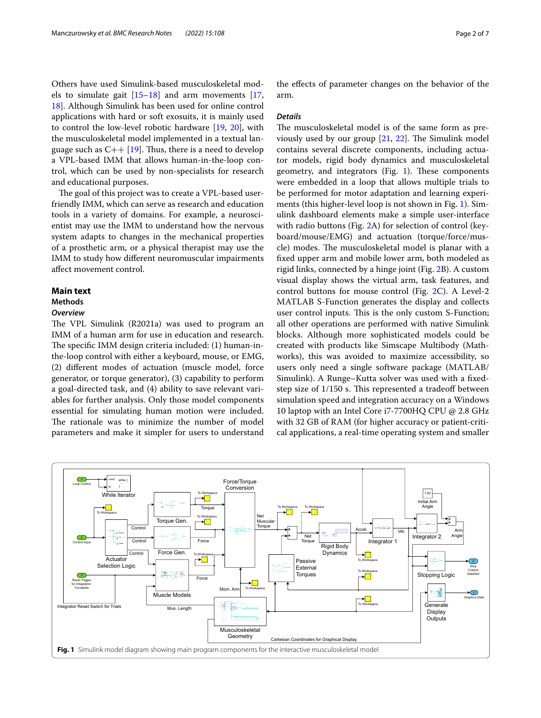Others have used Simulink-based musculoskeletal models to simulate gait  $[15–18]$  $[15–18]$  $[15–18]$  $[15–18]$  and arm movements  $[17, 18]$  $[17, 18]$ [18\]](#page-5-12). Although Simulink has been used for online control applications with hard or soft exosuits, it is mainly used to control the low-level robotic hardware [[19,](#page-5-14) [20](#page-5-15)], with the musculoskeletal model implemented in a textual language such as  $C_{++}$  [\[19\]](#page-5-14). Thus, there is a need to develop a VPL-based IMM that allows human-in-the-loop control, which can be used by non-specialists for research and educational purposes.

The goal of this project was to create a VPL-based userfriendly IMM, which can serve as research and education tools in a variety of domains. For example, a neuroscientist may use the IMM to understand how the nervous system adapts to changes in the mechanical properties of a prosthetic arm, or a physical therapist may use the IMM to study how diferent neuromuscular impairments afect movement control.

## **Main text**

## **Methods**

#### *Overview*

The VPL Simulink (R2021a) was used to program an IMM of a human arm for use in education and research. The specific IMM design criteria included: (1) human-inthe-loop control with either a keyboard, mouse, or EMG, (2) diferent modes of actuation (muscle model, force generator, or torque generator), (3) capability to perform a goal-directed task, and (4) ability to save relevant variables for further analysis. Only those model components essential for simulating human motion were included. The rationale was to minimize the number of model parameters and make it simpler for users to understand

the efects of parameter changes on the behavior of the arm.

#### *Details*

The musculoskeletal model is of the same form as previously used by our group  $[21, 22]$  $[21, 22]$  $[21, 22]$  $[21, 22]$ . The Simulink model contains several discrete components, including actuator models, rigid body dynamics and musculoskeletal geometry, and integrators (Fig.  $1$ ). These components were embedded in a loop that allows multiple trials to be performed for motor adaptation and learning experiments (this higher-level loop is not shown in Fig. [1](#page-1-0)). Simulink dashboard elements make a simple user-interface with radio buttons (Fig. [2A](#page-2-0)) for selection of control (keyboard/mouse/EMG) and actuation (torque/force/muscle) modes. The musculoskeletal model is planar with a fxed upper arm and mobile lower arm, both modeled as rigid links, connected by a hinge joint (Fig. [2](#page-2-0)B). A custom visual display shows the virtual arm, task features, and control buttons for mouse control (Fig. [2C](#page-2-0)). A Level-2 MATLAB S-Function generates the display and collects user control inputs. This is the only custom S-Function; all other operations are performed with native Simulink blocks. Although more sophisticated models could be created with products like Simscape Multibody (Mathworks), this was avoided to maximize accessibility, so users only need a single software package (MATLAB/ Simulink). A Runge–Kutta solver was used with a fxedstep size of  $1/150$  s. This represented a tradeoff between simulation speed and integration accuracy on a Windows 10 laptop with an Intel Core i7-7700HQ CPU @ 2.8 GHz with 32 GB of RAM (for higher accuracy or patient-critical applications, a real-time operating system and smaller

<span id="page-1-0"></span>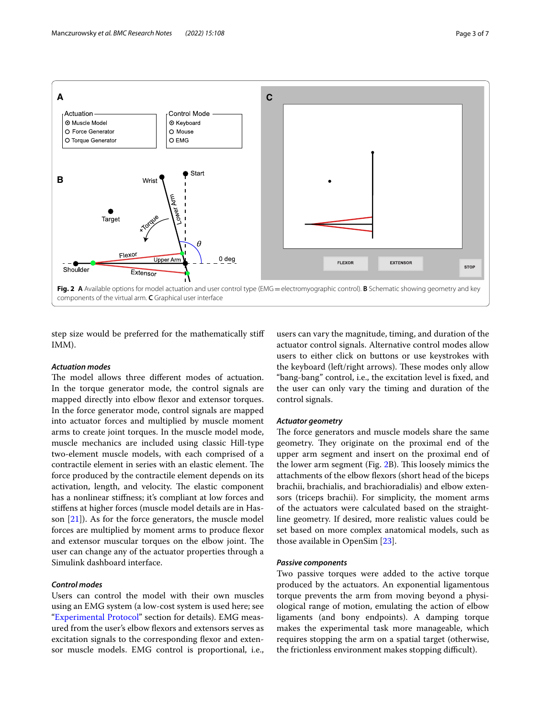

<span id="page-2-0"></span>step size would be preferred for the mathematically stif IMM).

## *Actuation modes*

The model allows three different modes of actuation. In the torque generator mode, the control signals are mapped directly into elbow fexor and extensor torques. In the force generator mode, control signals are mapped into actuator forces and multiplied by muscle moment arms to create joint torques. In the muscle model mode, muscle mechanics are included using classic Hill-type two-element muscle models, with each comprised of a contractile element in series with an elastic element. The force produced by the contractile element depends on its activation, length, and velocity. The elastic component has a nonlinear stifness; it's compliant at low forces and stifens at higher forces (muscle model details are in Hasson [[21](#page-5-16)]). As for the force generators, the muscle model forces are multiplied by moment arms to produce fexor and extensor muscular torques on the elbow joint. The user can change any of the actuator properties through a Simulink dashboard interface.

## *Control modes*

Users can control the model with their own muscles using an EMG system (a low-cost system is used here; see ["Experimental Protocol"](#page-3-0) section for details). EMG measured from the user's elbow flexors and extensors serves as excitation signals to the corresponding fexor and extensor muscle models. EMG control is proportional, i.e.,

users can vary the magnitude, timing, and duration of the actuator control signals. Alternative control modes allow users to either click on buttons or use keystrokes with the keyboard (left/right arrows). These modes only allow "bang-bang" control, i.e., the excitation level is fxed, and the user can only vary the timing and duration of the control signals.

## *Actuator geometry*

The force generators and muscle models share the same geometry. They originate on the proximal end of the upper arm segment and insert on the proximal end of the lower arm segment (Fig. [2B](#page-2-0)). This loosely mimics the attachments of the elbow fexors (short head of the biceps brachii, brachialis, and brachioradialis) and elbow extensors (triceps brachii). For simplicity, the moment arms of the actuators were calculated based on the straightline geometry. If desired, more realistic values could be set based on more complex anatomical models, such as those available in OpenSim [[23](#page-6-0)].

## *Passive components*

Two passive torques were added to the active torque produced by the actuators. An exponential ligamentous torque prevents the arm from moving beyond a physiological range of motion, emulating the action of elbow ligaments (and bony endpoints). A damping torque makes the experimental task more manageable, which requires stopping the arm on a spatial target (otherwise, the frictionless environment makes stopping difficult).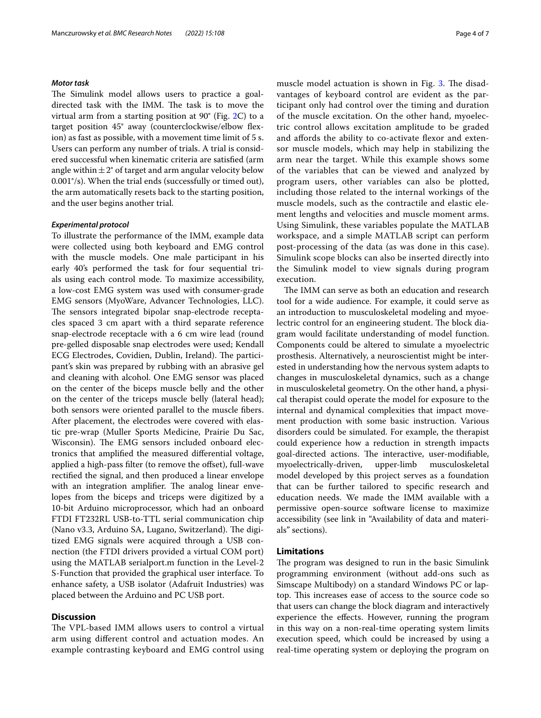## <span id="page-3-0"></span>*Motor task*

The Simulink model allows users to practice a goaldirected task with the IMM. The task is to move the virtual arm from a starting position at 90° (Fig. [2](#page-2-0)C) to a target position 45° away (counterclockwise/elbow fexion) as fast as possible, with a movement time limit of 5 s. Users can perform any number of trials. A trial is considered successful when kinematic criteria are satisfed (arm angle within  $\pm 2^{\circ}$  of target and arm angular velocity below 0.001°/s). When the trial ends (successfully or timed out), the arm automatically resets back to the starting position, and the user begins another trial.

## *Experimental protocol*

To illustrate the performance of the IMM, example data were collected using both keyboard and EMG control with the muscle models. One male participant in his early 40's performed the task for four sequential trials using each control mode. To maximize accessibility, a low-cost EMG system was used with consumer-grade EMG sensors (MyoWare, Advancer Technologies, LLC). The sensors integrated bipolar snap-electrode receptacles spaced 3 cm apart with a third separate reference snap-electrode receptacle with a 6 cm wire lead (round pre-gelled disposable snap electrodes were used; Kendall ECG Electrodes, Covidien, Dublin, Ireland). The participant's skin was prepared by rubbing with an abrasive gel and cleaning with alcohol. One EMG sensor was placed on the center of the biceps muscle belly and the other on the center of the triceps muscle belly (lateral head); both sensors were oriented parallel to the muscle fbers. After placement, the electrodes were covered with elastic pre-wrap (Muller Sports Medicine, Prairie Du Sac, Wisconsin). The EMG sensors included onboard electronics that amplifed the measured diferential voltage, applied a high-pass filter (to remove the offset), full-wave rectifed the signal, and then produced a linear envelope with an integration amplifier. The analog linear envelopes from the biceps and triceps were digitized by a 10-bit Arduino microprocessor, which had an onboard FTDI FT232RL USB-to-TTL serial communication chip (Nano v3.3, Arduino SA, Lugano, Switzerland). The digitized EMG signals were acquired through a USB connection (the FTDI drivers provided a virtual COM port) using the MATLAB serialport.m function in the Level-2 S-Function that provided the graphical user interface. To enhance safety, a USB isolator (Adafruit Industries) was placed between the Arduino and PC USB port.

## **Discussion**

The VPL-based IMM allows users to control a virtual arm using diferent control and actuation modes. An example contrasting keyboard and EMG control using muscle model actuation is shown in Fig. [3.](#page-4-0) The disadvantages of keyboard control are evident as the participant only had control over the timing and duration of the muscle excitation. On the other hand, myoelectric control allows excitation amplitude to be graded and affords the ability to co-activate flexor and extensor muscle models, which may help in stabilizing the arm near the target. While this example shows some of the variables that can be viewed and analyzed by program users, other variables can also be plotted, including those related to the internal workings of the muscle models, such as the contractile and elastic element lengths and velocities and muscle moment arms. Using Simulink, these variables populate the MATLAB workspace, and a simple MATLAB script can perform post-processing of the data (as was done in this case). Simulink scope blocks can also be inserted directly into the Simulink model to view signals during program execution.

The IMM can serve as both an education and research tool for a wide audience. For example, it could serve as an introduction to musculoskeletal modeling and myoelectric control for an engineering student. The block diagram would facilitate understanding of model function. Components could be altered to simulate a myoelectric prosthesis. Alternatively, a neuroscientist might be interested in understanding how the nervous system adapts to changes in musculoskeletal dynamics, such as a change in musculoskeletal geometry. On the other hand, a physical therapist could operate the model for exposure to the internal and dynamical complexities that impact movement production with some basic instruction. Various disorders could be simulated. For example, the therapist could experience how a reduction in strength impacts goal-directed actions. The interactive, user-modifiable,<br>myoelectrically-driven, upper-limb musculoskeletal myoelectrically-driven, upper-limb musculoskeletal model developed by this project serves as a foundation that can be further tailored to specifc research and education needs. We made the IMM available with a permissive open-source software license to maximize accessibility (see link in "Availability of data and materials" sections).

## **Limitations**

The program was designed to run in the basic Simulink programming environment (without add-ons such as Simscape Multibody) on a standard Windows PC or laptop. This increases ease of access to the source code so that users can change the block diagram and interactively experience the efects. However, running the program in this way on a non-real-time operating system limits execution speed, which could be increased by using a real-time operating system or deploying the program on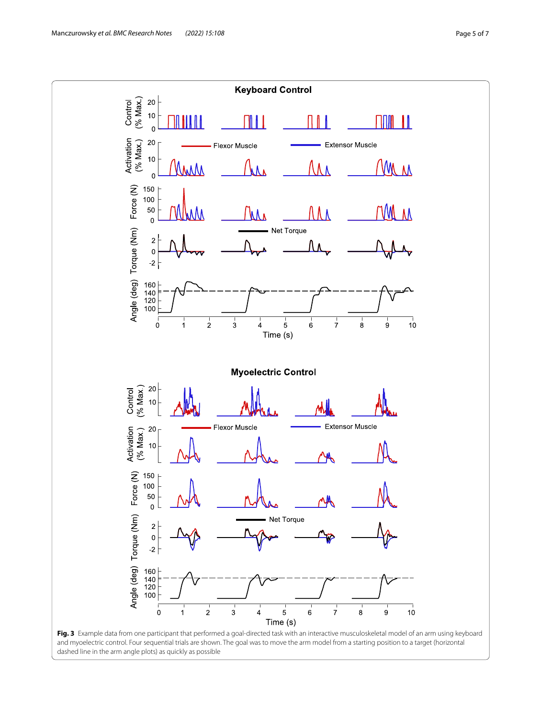<span id="page-4-0"></span>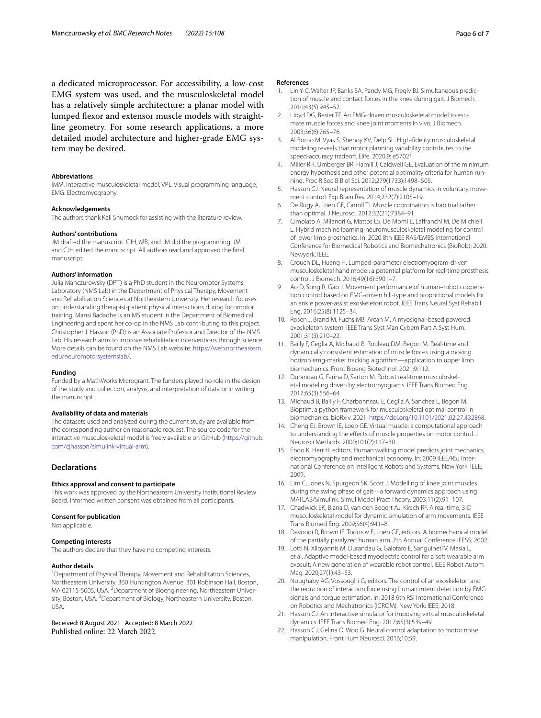a dedicated microprocessor. For accessibility, a low-cost EMG system was used, and the musculoskeletal model has a relatively simple architecture: a planar model with lumped fexor and extensor muscle models with straightline geometry. For some research applications, a more detailed model architecture and higher-grade EMG system may be desired.

#### **Abbreviations**

IMM: Interactive musculoskeletal model; VPL: Visual programming language; EMG: Electromyography.

## **Acknowledgements**

The authors thank Kali Shumock for assisting with the literature review.

#### **Authors' contributions**

JM drafted the manuscript. CJH, MB, and JM did the programming. JM and CJH edited the manuscript. All authors read and approved the fnal manuscript.

#### **Authors' information**

Julia Manczurowsky (DPT) is a PhD student in the Neuromotor Systems Laboratory (NMS Lab) in the Department of Physical Therapy, Movement and Rehabilitation Sciences at Northeastern University. Her research focuses on understanding therapist-patient physical interactions during locomotor training. Mansi Badadhe is an MS student in the Department of Biomedical Engineering and spent her co-op in the NMS Lab contributing to this project. Christopher J. Hasson (PhD) is an Associate Professor and Director of the NMS Lab. His research aims to improve rehabilitation interventions through science. More details can be found on the NMS Lab website: [https://web.northeastern.](https://web.northeastern.edu/neuromotorsystemslab/) [edu/neuromotorsystemslab/.](https://web.northeastern.edu/neuromotorsystemslab/)

#### **Funding**

Funded by a MathWorks Microgrant. The funders played no role in the design of the study and collection, analysis, and interpretation of data or in writing the manuscript.

#### **Availability of data and materials**

The datasets used and analyzed during the current study are available from the corresponding author on reasonable request. The source code for the interactive musculoskeletal model is freely available on GitHub ([https://github.](https://github.com/cjhasson/simulink-virtual-arm) [com/cjhasson/simulink-virtual-arm](https://github.com/cjhasson/simulink-virtual-arm)).

## **Declarations**

#### **Ethics approval and consent to participate**

This work was approved by the Northeastern University Institutional Review Board. Informed written consent was obtained from all participants.

#### **Consent for publication**

Not applicable.

## **Competing interests**

The authors declare that they have no competing interests.

#### **Author details**

<sup>1</sup> Department of Physical Therapy, Movement and Rehabilitation Sciences, Northeastern University, 360 Huntington Avenue, 301 Robinson Hall, Boston, MA 02115-5005, USA. <sup>2</sup> Department of Bioengineering, Northeastern University, Boston, USA. <sup>3</sup> Department of Biology, Northeastern University, Boston, USA.

## Received: 8 August 2021 Accepted: 8 March 2022 Published online: 22 March 2022

#### **References**

- <span id="page-5-0"></span>1. Lin Y-C, Walter JP, Banks SA, Pandy MG, Fregly BJ. Simultaneous prediction of muscle and contact forces in the knee during gait. J Biomech. 2010;43(5):945–52.
- <span id="page-5-1"></span>2. Lloyd DG, Besier TF. An EMG-driven musculoskeletal model to estimate muscle forces and knee joint moments in vivo. J Biomech. 2003;36(6):765–76.
- <span id="page-5-2"></span>3. Al Borno M, Vyas S, Shenoy KV, Delp SL. High-fdelity musculoskeletal modeling reveals that motor planning variability contributes to the speed-accuracy tradeoff. Elife. 2020;9: e57021.
- 4. Miller RH, Umberger BR, Hamill J, Caldwell GE. Evaluation of the minimum energy hypothesis and other potential optimality criteria for human running. Proc R Soc B Biol Sci. 2012;279(1733):1498–505.
- 5. Hasson CJ. Neural representation of muscle dynamics in voluntary movement control. Exp Brain Res. 2014;232(7):2105–19.
- <span id="page-5-3"></span>6. De Rugy A, Loeb GE, Carroll TJ. Muscle coordination is habitual rather than optimal. J Neurosci. 2012;32(21):7384–91.
- <span id="page-5-4"></span>7. Cimolato A, Milandri G, Mattos LS, De Momi E, Lafranchi M, De Michieli L. Hybrid machine learning-neuromusculoskeletal modeling for control of lower limb prosthetics. In: 2020 8th IEEE RAS/EMBS International Conference for Biomedical Robotics and Biomechatronics (BioRob); 2020. Newyork: IEEE.
- <span id="page-5-5"></span>8. Crouch DL, Huang H. Lumped-parameter electromyogram-driven musculoskeletal hand model: a potential platform for real-time prosthesis control. J Biomech. 2016;49(16):3901–7.
- <span id="page-5-6"></span>9. Ao D, Song R, Gao J. Movement performance of human–robot cooperation control based on EMG-driven hill-type and proportional models for an ankle power-assist exoskeleton robot. IEEE Trans Neural Syst Rehabil Eng. 2016;25(8):1125–34.
- <span id="page-5-7"></span>10. Rosen J, Brand M, Fuchs MB, Arcan M. A myosignal-based powered exoskeleton system. IEEE Trans Syst Man Cybern Part A Syst Hum. 2001;31(3):210–22.
- <span id="page-5-8"></span>11. Bailly F, Ceglia A, Michaud B, Rouleau DM, Begon M. Real-time and dynamically consistent estimation of muscle forces using a moving horizon emg-marker tracking algorithm—application to upper limb biomechanics. Front Bioeng Biotechnol. 2021;9:112.
- 12. Durandau G, Farina D, Sartori M. Robust real-time musculoskeletal modeling driven by electromyograms. IEEE Trans Biomed Eng. 2017;65(3):556–64.
- <span id="page-5-9"></span>13. Michaud B, Bailly F, Charbonneau E, Ceglia A, Sanchez L, Begon M. Bioptim, a python framework for musculoskeletal optimal control in biomechanics. bioRxiv. 2021. [https://doi.org/10.1101/2021.02.27.432868.](https://doi.org/10.1101/2021.02.27.432868)
- <span id="page-5-10"></span>14. Cheng EJ, Brown IE, Loeb GE. Virtual muscle: a computational approach to understanding the efects of muscle properties on motor control. J Neurosci Methods. 2000;101(2):117–30.
- <span id="page-5-11"></span>15. Endo K, Herr H, editors. Human walking model predicts joint mechanics, electromyography and mechanical economy. In: 2009 IEEE/RSJ International Conference on Intelligent Robots and Systems. New York: IEEE; 2009.
- 16. Lim C, Jones N, Spurgeon SK, Scott J. Modelling of knee joint muscles during the swing phase of gait––a forward dynamics approach using MATLAB/Simulink. Simul Model Pract Theory. 2003;11(2):91–107.
- <span id="page-5-13"></span>17. Chadwick EK, Blana D, van den Bogert AJ, Kirsch RF. A real-time, 3-D musculoskeletal model for dynamic simulation of arm movements. IEEE Trans Biomed Eng. 2009;56(4):941–8.
- <span id="page-5-12"></span>18. Davoodi R, Brown IE, Todorov E, Loeb GE, editors. A biomechanical model of the partially paralyzed human arm. 7th Annual Conference IFESS; 2002.
- <span id="page-5-14"></span>19. Lotti N, Xiloyannis M, Durandau G, Galofaro E, Sanguineti V, Masia L, et al. Adaptive model-based myoelectric control for a soft wearable arm exosuit: A new generation of wearable robot control. IEEE Robot Autom Mag. 2020;27(1):43–53.
- <span id="page-5-15"></span>20. Noughaby AG, Vossoughi G, editors. The control of an exoskeleton and the reduction of interaction force using human intent detection by EMG signals and torque estimation. In: 2018 6th RSI International Conference on Robotics and Mechatronics (ICROM). New York: IEEE; 2018.
- <span id="page-5-16"></span>21. Hasson CJ. An interactive simulator for imposing virtual musculoskeletal dynamics. IEEE Trans Biomed Eng. 2017;65(3):539–49.
- <span id="page-5-17"></span>22. Hasson CJ, Gelina O, Woo G. Neural control adaptation to motor noise manipulation. Front Hum Neurosci. 2016;10:59.